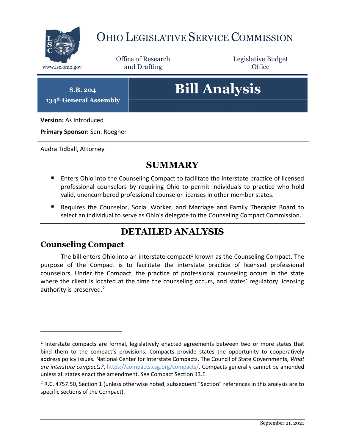

## OHIO LEGISLATIVE SERVICE COMMISSION

Office of Research www.lsc.ohio.gov **and Drafting Office** 

Legislative Budget

**S.B. 204 134th General Assembly**

# **Bill Analysis**

**Version:** As Introduced

**Primary Sponsor:** Sen. Roegner

Audra Tidball, Attorney

### **SUMMARY**

- **E** Enters Ohio into the Counseling Compact to facilitate the interstate practice of licensed professional counselors by requiring Ohio to permit individuals to practice who hold valid, unencumbered professional counselor licenses in other member states.
- Requires the Counselor, Social Worker, and Marriage and Family Therapist Board to select an individual to serve as Ohio's delegate to the Counseling Compact Commission.

## **DETAILED ANALYSIS**

#### **Counseling Compact**

 $\overline{a}$ 

The bill enters Ohio into an interstate compact<sup>1</sup> known as the Counseling Compact. The purpose of the Compact is to facilitate the interstate practice of licensed professional counselors. Under the Compact, the practice of professional counseling occurs in the state where the client is located at the time the counseling occurs, and states' regulatory licensing authority is preserved.<sup>2</sup>

 $<sup>1</sup>$  Interstate compacts are formal, legislatively enacted agreements between two or more states that</sup> bind them to the compact's provisions. Compacts provide states the opportunity to cooperatively address policy issues. National Center for Interstate Compacts, The Council of State Governments, *What are interstate compacts?*, [https://compacts.csg.org/compacts/.](https://compacts.csg.org/compacts/) Compacts generally cannot be amended unless all states enact the amendment. *See* Compact Section 13.E.

 $2$  R.C. 4757.50, Section 1 (unless otherwise noted, subsequent "Section" references in this analysis are to specific sections of the Compact).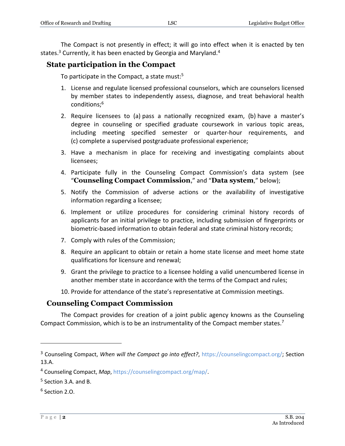The Compact is not presently in effect; it will go into effect when it is enacted by ten states.<sup>3</sup> Currently, it has been enacted by Georgia and Maryland.<sup>4</sup>

#### **State participation in the Compact**

To participate in the Compact, a state must: 5

- 1. License and regulate licensed professional counselors, which are counselors licensed by member states to independently assess, diagnose, and treat behavioral health conditions;<sup>6</sup>
- 2. Require licensees to (a) pass a nationally recognized exam, (b) have a master's degree in counseling or specified graduate coursework in various topic areas, including meeting specified semester or quarter-hour requirements, and (c) complete a supervised postgraduate professional experience;
- 3. Have a mechanism in place for receiving and investigating complaints about licensees;
- 4. Participate fully in the Counseling Compact Commission's data system (see "**Counseling Compact Commission**," and "**Data system**," below);
- 5. Notify the Commission of adverse actions or the availability of investigative information regarding a licensee;
- 6. Implement or utilize procedures for considering criminal history records of applicants for an initial privilege to practice, including submission of fingerprints or biometric-based information to obtain federal and state criminal history records;
- 7. Comply with rules of the Commission;
- 8. Require an applicant to obtain or retain a home state license and meet home state qualifications for licensure and renewal;
- 9. Grant the privilege to practice to a licensee holding a valid unencumbered license in another member state in accordance with the terms of the Compact and rules;
- 10. Provide for attendance of the state's representative at Commission meetings.

#### **Counseling Compact Commission**

The Compact provides for creation of a joint public agency knowns as the Counseling Compact Commission, which is to be an instrumentality of the Compact member states.<sup>7</sup>

<sup>&</sup>lt;sup>3</sup> Counseling Compact, When will the Compact go into effect?, [https://counselingcompact.org/;](https://counselingcompact.org/) Section 13.A.

<sup>4</sup> Counseling Compact, *Map*, [https://counselingcompact.org/map/.](https://counselingcompact.org/map/)

<sup>&</sup>lt;sup>5</sup> Section 3.A. and B.

<sup>6</sup> Section 2.O.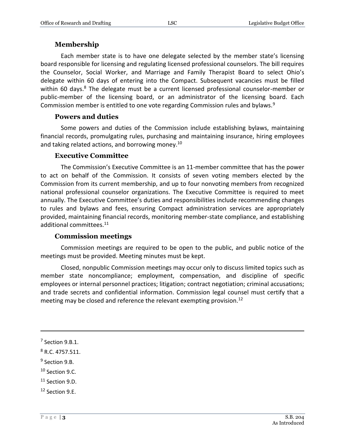#### **Membership**

Each member state is to have one delegate selected by the member state's licensing board responsible for licensing and regulating licensed professional counselors. The bill requires the Counselor, Social Worker, and Marriage and Family Therapist Board to select Ohio's delegate within 60 days of entering into the Compact. Subsequent vacancies must be filled within 60 days.<sup>8</sup> The delegate must be a current licensed professional counselor-member or public-member of the licensing board, or an administrator of the licensing board. Each Commission member is entitled to one vote regarding Commission rules and bylaws.<sup>9</sup>

#### **Powers and duties**

Some powers and duties of the Commission include establishing bylaws, maintaining financial records, promulgating rules, purchasing and maintaining insurance, hiring employees and taking related actions, and borrowing money.<sup>10</sup>

#### **Executive Committee**

The Commission's Executive Committee is an 11-member committee that has the power to act on behalf of the Commission. It consists of seven voting members elected by the Commission from its current membership, and up to four nonvoting members from recognized national professional counselor organizations. The Executive Committee is required to meet annually. The Executive Committee's duties and responsibilities include recommending changes to rules and bylaws and fees, ensuring Compact administration services are appropriately provided, maintaining financial records, monitoring member-state compliance, and establishing additional committees.<sup>11</sup>

#### **Commission meetings**

Commission meetings are required to be open to the public, and public notice of the meetings must be provided. Meeting minutes must be kept.

Closed, nonpublic Commission meetings may occur only to discuss limited topics such as member state noncompliance; employment, compensation, and discipline of specific employees or internal personnel practices; litigation; contract negotiation; criminal accusations; and trade secrets and confidential information. Commission legal counsel must certify that a meeting may be closed and reference the relevant exempting provision.<sup>12</sup>

 $\overline{a}$ 

<sup>10</sup> Section 9.C.

 $7$  Section 9.B.1.

<sup>8</sup> R.C. 4757.511.

<sup>&</sup>lt;sup>9</sup> Section 9.B.

<sup>&</sup>lt;sup>11</sup> Section 9.D.

<sup>12</sup> Section 9.E.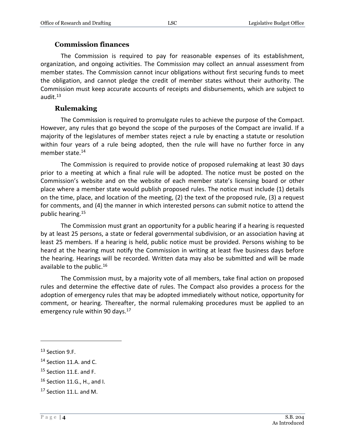#### **Commission finances**

The Commission is required to pay for reasonable expenses of its establishment, organization, and ongoing activities. The Commission may collect an annual assessment from member states. The Commission cannot incur obligations without first securing funds to meet the obligation, and cannot pledge the credit of member states without their authority. The Commission must keep accurate accounts of receipts and disbursements, which are subject to audit.<sup>13</sup>

#### **Rulemaking**

The Commission is required to promulgate rules to achieve the purpose of the Compact. However, any rules that go beyond the scope of the purposes of the Compact are invalid. If a majority of the legislatures of member states reject a rule by enacting a statute or resolution within four years of a rule being adopted, then the rule will have no further force in any member state.<sup>14</sup>

The Commission is required to provide notice of proposed rulemaking at least 30 days prior to a meeting at which a final rule will be adopted. The notice must be posted on the Commission's website and on the website of each member state's licensing board or other place where a member state would publish proposed rules. The notice must include (1) details on the time, place, and location of the meeting, (2) the text of the proposed rule, (3) a request for comments, and (4) the manner in which interested persons can submit notice to attend the public hearing.<sup>15</sup>

The Commission must grant an opportunity for a public hearing if a hearing is requested by at least 25 persons, a state or federal governmental subdivision, or an association having at least 25 members. If a hearing is held, public notice must be provided. Persons wishing to be heard at the hearing must notify the Commission in writing at least five business days before the hearing. Hearings will be recorded. Written data may also be submitted and will be made available to the public.<sup>16</sup>

The Commission must, by a majority vote of all members, take final action on proposed rules and determine the effective date of rules. The Compact also provides a process for the adoption of emergency rules that may be adopted immediately without notice, opportunity for comment, or hearing. Thereafter, the normal rulemaking procedures must be applied to an emergency rule within 90 days.<sup>17</sup>

<sup>13</sup> Section 9.F.

<sup>&</sup>lt;sup>14</sup> Section 11.A. and C.

<sup>&</sup>lt;sup>15</sup> Section 11.E. and F.

<sup>16</sup> Section 11.G., H., and I.

 $17$  Section 11.L. and M.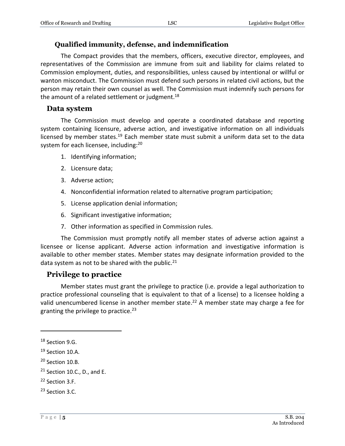#### **Qualified immunity, defense, and indemnification**

The Compact provides that the members, officers, executive director, employees, and representatives of the Commission are immune from suit and liability for claims related to Commission employment, duties, and responsibilities, unless caused by intentional or willful or wanton misconduct. The Commission must defend such persons in related civil actions, but the person may retain their own counsel as well. The Commission must indemnify such persons for the amount of a related settlement or judgment.<sup>18</sup>

#### **Data system**

The Commission must develop and operate a coordinated database and reporting system containing licensure, adverse action, and investigative information on all individuals licensed by member states.<sup>19</sup> Each member state must submit a uniform data set to the data system for each licensee, including:<sup>20</sup>

- 1. Identifying information;
- 2. Licensure data;
- 3. Adverse action;
- 4. Nonconfidential information related to alternative program participation;
- 5. License application denial information;
- 6. Significant investigative information;
- 7. Other information as specified in Commission rules.

The Commission must promptly notify all member states of adverse action against a licensee or license applicant. Adverse action information and investigative information is available to other member states. Member states may designate information provided to the data system as not to be shared with the public. $^{21}$ 

#### **Privilege to practice**

Member states must grant the privilege to practice (i.e. provide a legal authorization to practice professional counseling that is equivalent to that of a license) to a licensee holding a valid unencumbered license in another member state. <sup>22</sup> A member state may charge a fee for granting the privilege to practice.<sup>23</sup>

<sup>&</sup>lt;sup>18</sup> Section 9.G.

<sup>&</sup>lt;sup>19</sup> Section 10.A.

<sup>&</sup>lt;sup>20</sup> Section 10.B.

 $21$  Section 10.C., D., and E.

<sup>22</sup> Section 3.F.

<sup>23</sup> Section 3.C.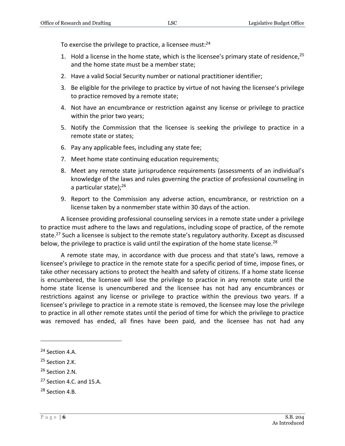To exercise the privilege to practice, a licensee must:<sup>24</sup>

- 1. Hold a license in the home state, which is the licensee's primary state of residence,  $25$ and the home state must be a member state;
- 2. Have a valid Social Security number or national practitioner identifier;
- 3. Be eligible for the privilege to practice by virtue of not having the licensee's privilege to practice removed by a remote state;
- 4. Not have an encumbrance or restriction against any license or privilege to practice within the prior two years;
- 5. Notify the Commission that the licensee is seeking the privilege to practice in a remote state or states;
- 6. Pay any applicable fees, including any state fee;
- 7. Meet home state continuing education requirements;
- 8. Meet any remote state jurisprudence requirements (assessments of an individual's knowledge of the laws and rules governing the practice of professional counseling in a particular state); 26
- 9. Report to the Commission any adverse action, encumbrance, or restriction on a license taken by a nonmember state within 30 days of the action.

A licensee providing professional counseling services in a remote state under a privilege to practice must adhere to the laws and regulations, including scope of practice, of the remote state.<sup>27</sup> Such a licensee is subject to the remote state's regulatory authority. Except as discussed below, the privilege to practice is valid until the expiration of the home state license.<sup>28</sup>

A remote state may, in accordance with due process and that state's laws, remove a licensee's privilege to practice in the remote state for a specific period of time, impose fines, or take other necessary actions to protect the health and safety of citizens. If a home state license is encumbered, the licensee will lose the privilege to practice in any remote state until the home state license is unencumbered and the licensee has not had any encumbrances or restrictions against any license or privilege to practice within the previous two years. If a licensee's privilege to practice in a remote state is removed, the licensee may lose the privilege to practice in all other remote states until the period of time for which the privilege to practice was removed has ended, all fines have been paid, and the licensee has not had any

<sup>24</sup> Section 4.A.

<sup>&</sup>lt;sup>25</sup> Section 2.K.

<sup>26</sup> Section 2.N.

 $27$  Section 4.C. and 15.A.

<sup>28</sup> Section 4.B.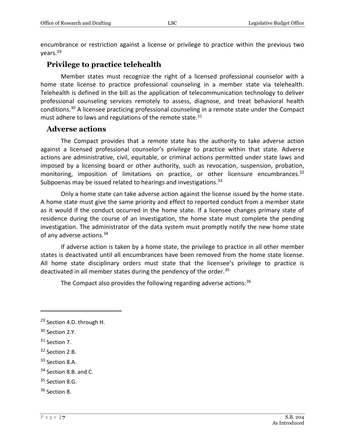encumbrance or restriction against a license or privilege to practice within the previous two years.<sup>29</sup>

#### **Privilege to practice telehealth**

Member states must recognize the right of a licensed professional counselor with a home state license to practice professional counseling in a member state via telehealth. Telehealth is defined in the bill as the application of telecommunication technology to deliver professional counseling services remotely to assess, diagnose, and treat behavioral health conditions.<sup>30</sup> A licensee practicing professional counseling in a remote state under the Compact must adhere to laws and regulations of the remote state.<sup>31</sup>

#### **Adverse actions**

The Compact provides that a remote state has the authority to take adverse action against a licensed professional counselor's privilege to practice within that state. Adverse actions are administrative, civil, equitable, or criminal actions permitted under state laws and imposed by a licensing board or other authority, such as revocation, suspension, probation, monitoring, imposition of limitations on practice, or other licensure encumbrances.<sup>32</sup> Subpoenas may be issued related to hearings and investigations.<sup>33</sup>

Only a home state can take adverse action against the license issued by the home state. A home state must give the same priority and effect to reported conduct from a member state as it would if the conduct occurred in the home state. If a licensee changes primary state of residence during the course of an investigation, the home state must complete the pending investigation. The administrator of the data system must promptly notify the new home state of any adverse actions.<sup>34</sup>

If adverse action is taken by a home state, the privilege to practice in all other member states is deactivated until all encumbrances have been removed from the home state license. All home state disciplinary orders must state that the licensee's privilege to practice is deactivated in all member states during the pendency of the order.<sup>35</sup>

The Compact also provides the following regarding adverse actions: $36$ 

 $\overline{a}$ 

<sup>35</sup> Section 8.G.

<sup>&</sup>lt;sup>29</sup> Section 4.D. through H.

<sup>&</sup>lt;sup>30</sup> Section 2.Y.

<sup>&</sup>lt;sup>31</sup> Section 7.

<sup>32</sup> Section 2.B.

<sup>33</sup> Section 8.A.

<sup>&</sup>lt;sup>34</sup> Section 8.B. and C.

<sup>36</sup> Section 8.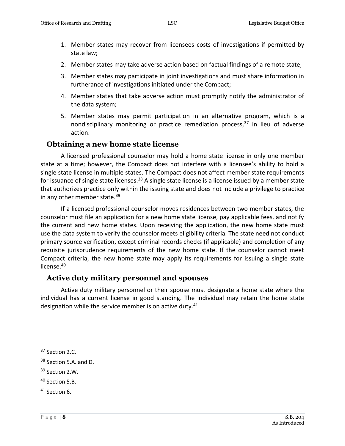- 1. Member states may recover from licensees costs of investigations if permitted by state law;
- 2. Member states may take adverse action based on factual findings of a remote state;
- 3. Member states may participate in joint investigations and must share information in furtherance of investigations initiated under the Compact;
- 4. Member states that take adverse action must promptly notify the administrator of the data system;
- 5. Member states may permit participation in an alternative program, which is a nondisciplinary monitoring or practice remediation process, $37$  in lieu of adverse action.

#### **Obtaining a new home state license**

A licensed professional counselor may hold a home state license in only one member state at a time; however, the Compact does not interfere with a licensee's ability to hold a single state license in multiple states. The Compact does not affect member state requirements for issuance of single state licenses.<sup>38</sup> A single state license is a license issued by a member state that authorizes practice only within the issuing state and does not include a privilege to practice in any other member state.<sup>39</sup>

If a licensed professional counselor moves residences between two member states, the counselor must file an application for a new home state license, pay applicable fees, and notify the current and new home states. Upon receiving the application, the new home state must use the data system to verify the counselor meets eligibility criteria. The state need not conduct primary source verification, except criminal records checks (if applicable) and completion of any requisite jurisprudence requirements of the new home state. If the counselor cannot meet Compact criteria, the new home state may apply its requirements for issuing a single state license.<sup>40</sup>

#### **Active duty military personnel and spouses**

Active duty military personnel or their spouse must designate a home state where the individual has a current license in good standing. The individual may retain the home state designation while the service member is on active duty.<sup>41</sup>

<sup>&</sup>lt;sup>37</sup> Section 2.C.

<sup>&</sup>lt;sup>38</sup> Section 5.A. and D.

<sup>39</sup> Section 2.W.

<sup>40</sup> Section 5.B.

<sup>41</sup> Section 6.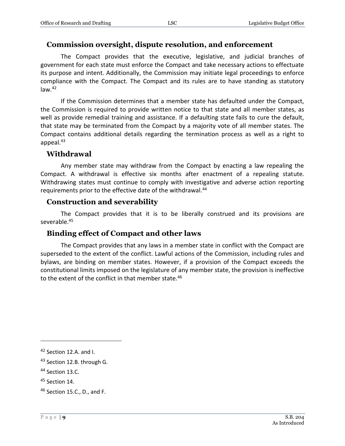#### **Commission oversight, dispute resolution, and enforcement**

The Compact provides that the executive, legislative, and judicial branches of government for each state must enforce the Compact and take necessary actions to effectuate its purpose and intent. Additionally, the Commission may initiate legal proceedings to enforce compliance with the Compact. The Compact and its rules are to have standing as statutory  $law.<sup>42</sup>$ 

If the Commission determines that a member state has defaulted under the Compact, the Commission is required to provide written notice to that state and all member states, as well as provide remedial training and assistance. If a defaulting state fails to cure the default, that state may be terminated from the Compact by a majority vote of all member states. The Compact contains additional details regarding the termination process as well as a right to appeal.<sup>43</sup>

#### **Withdrawal**

Any member state may withdraw from the Compact by enacting a law repealing the Compact. A withdrawal is effective six months after enactment of a repealing statute. Withdrawing states must continue to comply with investigative and adverse action reporting requirements prior to the effective date of the withdrawal.<sup>44</sup>

#### **Construction and severability**

The Compact provides that it is to be liberally construed and its provisions are severable.<sup>45</sup>

#### **Binding effect of Compact and other laws**

The Compact provides that any laws in a member state in conflict with the Compact are superseded to the extent of the conflict. Lawful actions of the Commission, including rules and bylaws, are binding on member states. However, if a provision of the Compact exceeds the constitutional limits imposed on the legislature of any member state, the provision is ineffective to the extent of the conflict in that member state.<sup>46</sup>

<sup>42</sup> Section 12.A. and I.

<sup>&</sup>lt;sup>43</sup> Section 12.B. through G.

<sup>&</sup>lt;sup>44</sup> Section 13.C.

<sup>45</sup> Section 14.

<sup>46</sup> Section 15.C., D., and F.